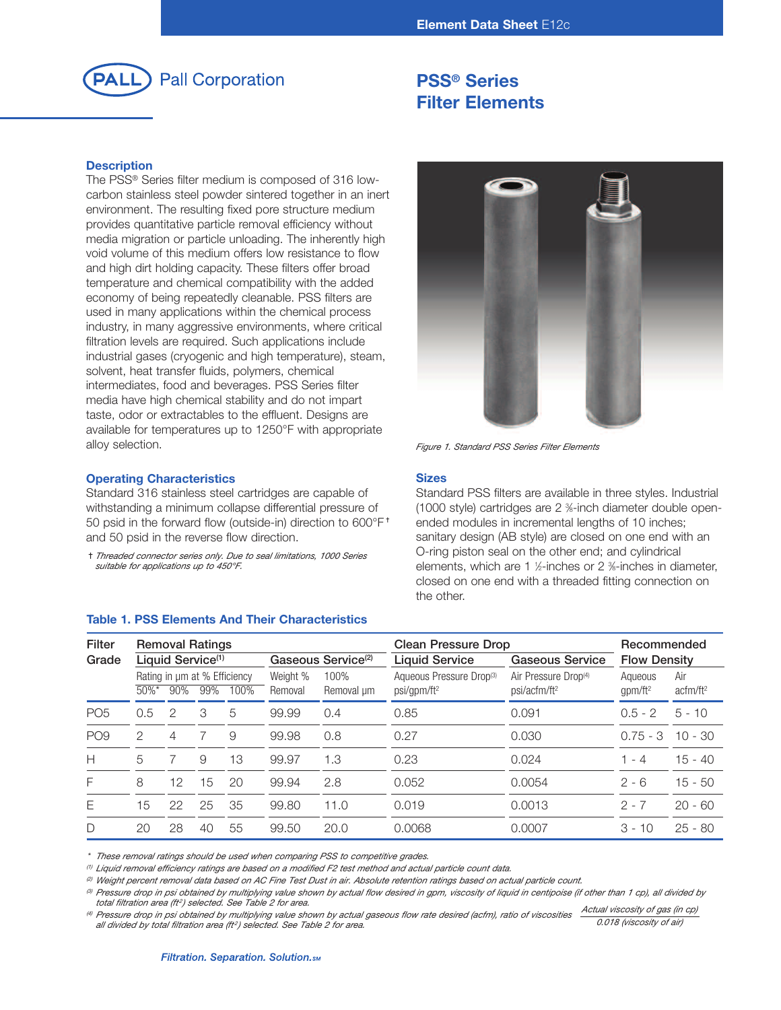

# **PSS® Series Filter Elements**

## **Description**

The PSS® Series filter medium is composed of 316 lowcarbon stainless steel powder sintered together in an inert environment. The resulting fixed pore structure medium provides quantitative particle removal efficiency without media migration or particle unloading. The inherently high void volume of this medium offers low resistance to flow and high dirt holding capacity. These filters offer broad temperature and chemical compatibility with the added economy of being repeatedly cleanable. PSS filters are used in many applications within the chemical process industry, in many aggressive environments, where critical filtration levels are required. Such applications include industrial gases (cryogenic and high temperature), steam, solvent, heat transfer fluids, polymers, chemical intermediates, food and beverages. PSS Series filter media have high chemical stability and do not impart taste, odor or extractables to the effluent. Designs are available for temperatures up to 1250°F with appropriate alloy selection.



*Figure 1. Standard PSS Series Filter Elements*

#### **Sizes**

Standard PSS filters are available in three styles. Industrial (1000 style) cartridges are 2 <sup>3</sup> ⁄8-inch diameter double openended modules in incremental lengths of 10 inches; sanitary design (AB style) are closed on one end with an O-ring piston seal on the other end; and cylindrical elements, which are 1 ½-inches or 2 %-inches in diameter, closed on one end with a threaded fitting connection on the other.

| Filter          | <b>Removal Ratings</b> |                               |     |                                      |                     |                                | <b>Clean Pressure Drop</b>                          | Recommended                                                  |                       |                             |
|-----------------|------------------------|-------------------------------|-----|--------------------------------------|---------------------|--------------------------------|-----------------------------------------------------|--------------------------------------------------------------|-----------------------|-----------------------------|
| Grade           |                        | Liquid Service <sup>(1)</sup> |     |                                      |                     | Gaseous Service <sup>(2)</sup> | <b>Liquid Service</b>                               | Gaseous Service                                              | <b>Flow Density</b>   |                             |
|                 | $50\%$ *               | 90%                           | 99% | Rating in um at % Efficiency<br>100% | Weight %<br>Removal | 100%<br>Removal um             | Aqueous Pressure Drop(3)<br>psi/gpm/ft <sup>2</sup> | Air Pressure Drop <sup>(4)</sup><br>psi/acfm/ft <sup>2</sup> | Agueous<br>$qpm/ft^2$ | Air<br>actm/ft <sup>2</sup> |
| PO <sub>5</sub> | 0.5                    | $\mathcal{P}$                 | 3   | 5                                    | 99.99               | 0.4                            | 0.85                                                | 0.091                                                        | $0.5 - 2$             | $5 - 10$                    |
| PO <sub>9</sub> | 2                      | 4                             |     | 9                                    | 99.98               | 0.8                            | 0.27                                                | 0.030                                                        | $0.75 - 3$            | $10 - 30$                   |
| H               | 5                      |                               | 9   | 13                                   | 99.97               | 1.3                            | 0.23                                                | 0.024                                                        | 1 - 4                 | $15 - 40$                   |
| F               | 8                      | 12                            | 15  | 20                                   | 99.94               | 2.8                            | 0.052                                               | 0.0054                                                       | $2 - 6$               | $15 - 50$                   |
| Ε               | 15                     | 22                            | 25  | 35                                   | 99.80               | 11.0                           | 0.019                                               | 0.0013                                                       | $2 - 7$               | $20 - 60$                   |
| D               | 20                     | 28                            | 40  | 55                                   | 99.50               | 20.0                           | 0.0068                                              | 0.0007                                                       | $3 - 10$              | $25 - 80$                   |

**Table 1. PSS Elements And Their Characteristics**

-*Threaded connector series only. Due to seal limitations, 1000 Series*

Standard 316 stainless steel cartridges are capable of withstanding a minimum collapse differential pressure of 50 psid in the forward flow (outside-in) direction to 600°F<sup>+</sup>

**Operating Characteristics**

*suitable for applications up to 450°F.*

and 50 psid in the reverse flow direction.

*\* These removal ratings should be used when comparing PSS to competitive grades.*

(1) Liquid removal efficiency ratings are based on a modified F2 test method and actual particle count data

<sup>(2)</sup> Weight percent removal data based on AC Fine Test Dust in air. Absolute retention ratings based on actual particle count.

(8) Pressure drop in psi obtained by multiplying value shown by actual flow desired in gpm, viscosity of liquid in centipoise (if other than 1 cp), all divided by *total filtration area (ft2 ) selected. See Table 2 for area.*

(4) Pressure drop in psi obtained by multiplying value shown by actual gaseous flow rate desired (acfm), ratio of viscosities Actual viscosity of gas (in cp) *all divided by total filtration area (ft2 ) selected. See Table 2 for area. 0.018 (viscosity of air)*